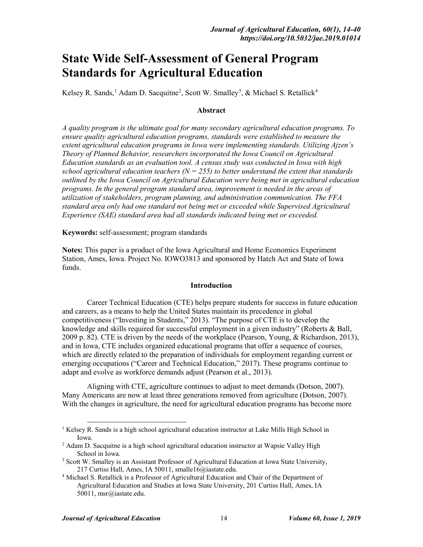# **State Wide Self-Assessment of General Program Standards for Agricultural Education**

Kelsey R. Sands,<sup>[1](#page-0-0)</sup> Adam D. Sacquitne<sup>[2](#page-0-1)</sup>, Scott W. Smalley<sup>[3](#page-0-2)</sup>, & Michael S. Retallick<sup>[4](#page-0-3)</sup>

#### **Abstract**

*A quality program is the ultimate goal for many secondary agricultural education programs. To ensure quality agricultural education programs, standards were established to measure the extent agricultural education programs in Iowa were implementing standards. Utilizing Ajzen's Theory of Planned Behavior, researchers incorporated the Iowa Council on Agricultural Education standards as an evaluation tool. A census study was conducted in Iowa with high school agricultural education teachers (N = 255) to better understand the extent that standards outlined by the Iowa Council on Agricultural Education were being met in agricultural education programs. In the general program standard area, improvement is needed in the areas of utilization of stakeholders, program planning, and administration communication. The FFA standard area only had one standard not being met or exceeded while Supervised Agricultural Experience (SAE) standard area had all standards indicated being met or exceeded.* 

**Keywords:** self-assessment; program standards

**Notes:** This paper is a product of the Iowa Agricultural and Home Economics Experiment Station, Ames, Iowa. Project No. IOWO3813 and sponsored by Hatch Act and State of Iowa funds.

#### **Introduction**

Career Technical Education (CTE) helps prepare students for success in future education and careers, as a means to help the United States maintain its precedence in global competitiveness ("Investing in Students," 2013). "The purpose of CTE is to develop the knowledge and skills required for successful employment in a given industry" (Roberts & Ball, 2009 p. 82). CTE is driven by the needs of the workplace (Pearson, Young, & Richardson, 2013), and in Iowa, CTE includes organized educational programs that offer a sequence of courses, which are directly related to the preparation of individuals for employment regarding current or emerging occupations ("Career and Technical Education," 2017). These programs continue to adapt and evolve as workforce demands adjust (Pearson et al., 2013).

Aligning with CTE, agriculture continues to adjust to meet demands (Dotson, 2007). Many Americans are now at least three generations removed from agriculture (Dotson, 2007). With the changes in agriculture, the need for agricultural education programs has become more

<span id="page-0-0"></span><sup>&</sup>lt;sup>1</sup> Kelsey R. Sands is a high school agricultural education instructor at Lake Mills High School in Iowa.

<span id="page-0-1"></span> $<sup>2</sup>$  Adam D. Sacquitne is a high school agricultural education instructor at Wapsie Valley High</sup> School in Iowa.

<span id="page-0-2"></span><sup>&</sup>lt;sup>3</sup> Scott W. Smalley is an Assistant Professor of Agricultural Education at Iowa State University, 217 Curtiss Hall, Ames, IA 50011, smalle16@iastate.edu.

<span id="page-0-3"></span><sup>4</sup> Michael S. Retallick is a Professor of Agricultural Education and Chair of the Department of Agricultural Education and Studies at Iowa State University, 201 Curtiss Hall, Ames, IA 50011, msr@iastate.edu.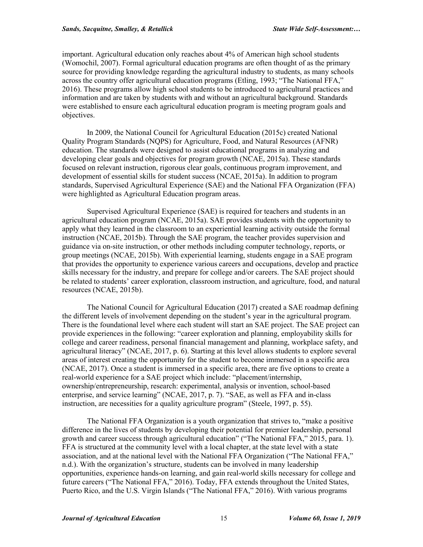important. Agricultural education only reaches about 4% of American high school students (Womochil, 2007). Formal agricultural education programs are often thought of as the primary source for providing knowledge regarding the agricultural industry to students, as many schools across the country offer agricultural education programs (Etling, 1993; "The National FFA," 2016). These programs allow high school students to be introduced to agricultural practices and information and are taken by students with and without an agricultural background. Standards were established to ensure each agricultural education program is meeting program goals and objectives.

In 2009, the National Council for Agricultural Education (2015c) created National Quality Program Standards (NQPS) for Agriculture, Food, and Natural Resources (AFNR) education. The standards were designed to assist educational programs in analyzing and developing clear goals and objectives for program growth (NCAE, 2015a). These standards focused on relevant instruction, rigorous clear goals, continuous program improvement, and development of essential skills for student success (NCAE, 2015a). In addition to program standards, Supervised Agricultural Experience (SAE) and the National FFA Organization (FFA) were highlighted as Agricultural Education program areas.

Supervised Agricultural Experience (SAE) is required for teachers and students in an agricultural education program (NCAE, 2015a). SAE provides students with the opportunity to apply what they learned in the classroom to an experiential learning activity outside the formal instruction (NCAE, 2015b). Through the SAE program, the teacher provides supervision and guidance via on-site instruction, or other methods including computer technology, reports, or group meetings (NCAE, 2015b). With experiential learning, students engage in a SAE program that provides the opportunity to experience various careers and occupations, develop and practice skills necessary for the industry, and prepare for college and/or careers. The SAE project should be related to students' career exploration, classroom instruction, and agriculture, food, and natural resources (NCAE, 2015b).

The National Council for Agricultural Education (2017) created a SAE roadmap defining the different levels of involvement depending on the student's year in the agricultural program. There is the foundational level where each student will start an SAE project. The SAE project can provide experiences in the following: "career exploration and planning, employability skills for college and career readiness, personal financial management and planning, workplace safety, and agricultural literacy" (NCAE, 2017, p. 6). Starting at this level allows students to explore several areas of interest creating the opportunity for the student to become immersed in a specific area (NCAE, 2017). Once a student is immersed in a specific area, there are five options to create a real-world experience for a SAE project which include: "placement/internship, ownership/entrepreneurship, research: experimental, analysis or invention, school-based enterprise, and service learning" (NCAE, 2017, p. 7). "SAE, as well as FFA and in-class instruction, are necessities for a quality agriculture program" (Steele, 1997, p. 55).

The National FFA Organization is a youth organization that strives to, "make a positive difference in the lives of students by developing their potential for premier leadership, personal growth and career success through agricultural education" ("The National FFA," 2015, para. 1). FFA is structured at the community level with a local chapter, at the state level with a state association, and at the national level with the National FFA Organization ("The National FFA," n.d.). With the organization's structure, students can be involved in many leadership opportunities, experience hands-on learning, and gain real-world skills necessary for college and future careers ("The National FFA," 2016). Today, FFA extends throughout the United States, Puerto Rico, and the U.S. Virgin Islands ("The National FFA," 2016). With various programs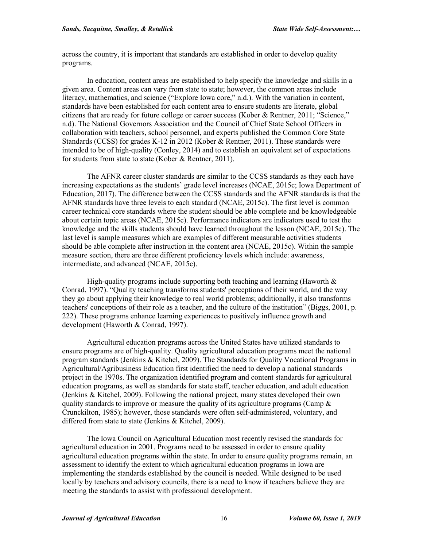across the country, it is important that standards are established in order to develop quality programs.

In education, content areas are established to help specify the knowledge and skills in a given area. Content areas can vary from state to state; however, the common areas include literacy, mathematics, and science ("Explore Iowa core," n.d.). With the variation in content, standards have been established for each content area to ensure students are literate, global citizens that are ready for future college or career success (Kober & Rentner, 2011; "Science," n.d). The National Governors Association and the Council of Chief State School Officers in collaboration with teachers, school personnel, and experts published the Common Core State Standards (CCSS) for grades K-12 in 2012 (Kober & Rentner, 2011). These standards were intended to be of high-quality (Conley, 2014) and to establish an equivalent set of expectations for students from state to state (Kober & Rentner, 2011).

The AFNR career cluster standards are similar to the CCSS standards as they each have increasing expectations as the students' grade level increases (NCAE, 2015c; Iowa Department of Education, 2017). The difference between the CCSS standards and the AFNR standards is that the AFNR standards have three levels to each standard (NCAE, 2015c). The first level is common career technical core standards where the student should be able complete and be knowledgeable about certain topic areas (NCAE, 2015c). Performance indicators are indicators used to test the knowledge and the skills students should have learned throughout the lesson (NCAE, 2015c). The last level is sample measures which are examples of different measurable activities students should be able complete after instruction in the content area (NCAE, 2015c). Within the sample measure section, there are three different proficiency levels which include: awareness, intermediate, and advanced (NCAE, 2015c).

High-quality programs include supporting both teaching and learning (Haworth  $\&$ Conrad, 1997). "Quality teaching transforms students' perceptions of their world, and the way they go about applying their knowledge to real world problems; additionally, it also transforms teachers' conceptions of their role as a teacher, and the culture of the institution" (Biggs, 2001, p. 222). These programs enhance learning experiences to positively influence growth and development (Haworth & Conrad, 1997).

Agricultural education programs across the United States have utilized standards to ensure programs are of high-quality. Quality agricultural education programs meet the national program standards (Jenkins & Kitchel, 2009). The Standards for Quality Vocational Programs in Agricultural/Agribusiness Education first identified the need to develop a national standards project in the 1970s. The organization identified program and content standards for agricultural education programs, as well as standards for state staff, teacher education, and adult education (Jenkins & Kitchel, 2009). Following the national project, many states developed their own quality standards to improve or measure the quality of its agriculture programs (Camp  $\&$ Crunckilton, 1985); however, those standards were often self-administered, voluntary, and differed from state to state (Jenkins & Kitchel, 2009).

The Iowa Council on Agricultural Education most recently revised the standards for agricultural education in 2001. Programs need to be assessed in order to ensure quality agricultural education programs within the state. In order to ensure quality programs remain, an assessment to identify the extent to which agricultural education programs in Iowa are implementing the standards established by the council is needed. While designed to be used locally by teachers and advisory councils, there is a need to know if teachers believe they are meeting the standards to assist with professional development.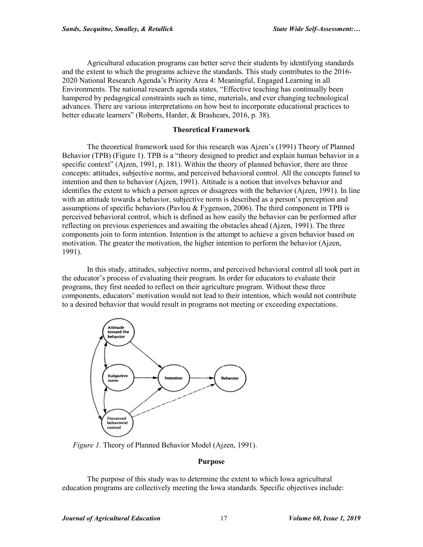Agricultural education programs can better serve their students by identifying standards and the extent to which the programs achieve the standards. This study contributes to the 2016- 2020 National Research Agenda's Priority Area 4: Meaningful, Engaged Learning in all Environments. The national research agenda states, "Effective teaching has continually been hampered by pedagogical constraints such as time, materials, and ever changing technological advances. There are various interpretations on how best to incorporate educational practices to better educate learners" (Roberts, Harder, & Brashears, 2016, p. 38).

#### **Theoretical Framework**

The theoretical framework used for this research was Ajzen's (1991) Theory of Planned Behavior (TPB) (Figure 1). TPB is a "theory designed to predict and explain human behavior in a specific context" (Ajzen, 1991, p. 181). Within the theory of planned behavior, there are three concepts: attitudes, subjective norms, and perceived behavioral control. All the concepts funnel to intention and then to behavior (Ajzen, 1991). Attitude is a notion that involves behavior and identifies the extent to which a person agrees or disagrees with the behavior (Ajzen, 1991). In line with an attitude towards a behavior, subjective norm is described as a person's perception and assumptions of specific behaviors (Pavlou & Fygenson, 2006). The third component in TPB is perceived behavioral control, which is defined as how easily the behavior can be performed after reflecting on previous experiences and awaiting the obstacles ahead (Ajzen, 1991). The three components join to form intention. Intention is the attempt to achieve a given behavior based on motivation. The greater the motivation, the higher intention to perform the behavior (Ajzen, 1991).

In this study, attitudes, subjective norms, and perceived behavioral control all took part in the educator's process of evaluating their program. In order for educators to evaluate their programs, they first needed to reflect on their agriculture program. Without these three components, educators' motivation would not lead to their intention, which would not contribute to a desired behavior that would result in programs not meeting or exceeding expectations.



*Figure 1.* Theory of Planned Behavior Model (Ajzen, 1991).

#### **Purpose**

The purpose of this study was to determine the extent to which Iowa agricultural education programs are collectively meeting the Iowa standards. Specific objectives include: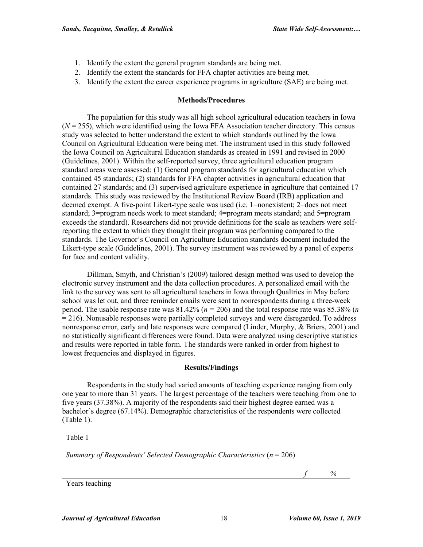- 1. Identify the extent the general program standards are being met.
- 2. Identify the extent the standards for FFA chapter activities are being met.
- 3. Identify the extent the career experience programs in agriculture (SAE) are being met.

#### **Methods/Procedures**

The population for this study was all high school agricultural education teachers in Iowa  $(N = 255)$ , which were identified using the Iowa FFA Association teacher directory. This census study was selected to better understand the extent to which standards outlined by the Iowa Council on Agricultural Education were being met. The instrument used in this study followed the Iowa Council on Agricultural Education standards as created in 1991 and revised in 2000 (Guidelines, 2001). Within the self-reported survey, three agricultural education program standard areas were assessed: (1) General program standards for agricultural education which contained 45 standards; (2) standards for FFA chapter activities in agricultural education that contained 27 standards; and (3) supervised agriculture experience in agriculture that contained 17 standards. This study was reviewed by the Institutional Review Board (IRB) application and deemed exempt. A five-point Likert-type scale was used (i.e. 1=nonexistent; 2=does not meet standard; 3=program needs work to meet standard; 4=program meets standard; and 5=program exceeds the standard). Researchers did not provide definitions for the scale as teachers were selfreporting the extent to which they thought their program was performing compared to the standards. The Governor's Council on Agriculture Education standards document included the Likert-type scale (Guidelines, 2001). The survey instrument was reviewed by a panel of experts for face and content validity.

Dillman, Smyth, and Christian's (2009) tailored design method was used to develop the electronic survey instrument and the data collection procedures. A personalized email with the link to the survey was sent to all agricultural teachers in Iowa through Qualtrics in May before school was let out, and three reminder emails were sent to nonrespondents during a three-week period. The usable response rate was  $81.42\%$  ( $n = 206$ ) and the total response rate was  $85.38\%$  (*n* = 216). Nonusable responses were partially completed surveys and were disregarded. To address nonresponse error, early and late responses were compared (Linder, Murphy, & Briers, 2001) and no statistically significant differences were found. Data were analyzed using descriptive statistics and results were reported in table form. The standards were ranked in order from highest to lowest frequencies and displayed in figures.

#### **Results/Findings**

Respondents in the study had varied amounts of teaching experience ranging from only one year to more than 31 years. The largest percentage of the teachers were teaching from one to five years (37.38%). A majority of the respondents said their highest degree earned was a bachelor's degree (67.14%). Demographic characteristics of the respondents were collected (Table 1).

Table 1

*Summary of Respondents' Selected Demographic Characteristics* (*n* = 206)

*f %*

Years teaching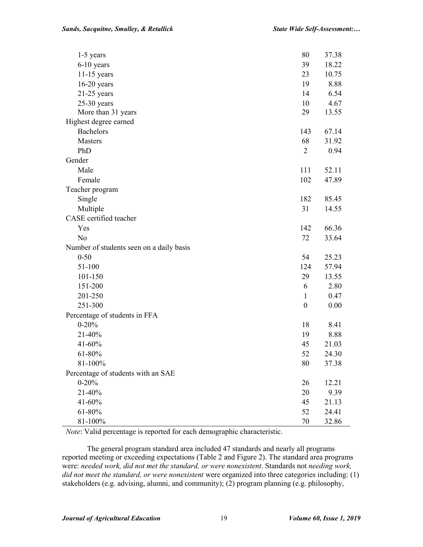| $1-5$ years                              | 80               | 37.38 |
|------------------------------------------|------------------|-------|
| $6-10$ years                             | 39               | 18.22 |
| $11-15$ years                            | 23               | 10.75 |
| $16-20$ years                            | 19               | 8.88  |
| $21-25$ years                            | 14               | 6.54  |
| $25-30$ years                            | 10               | 4.67  |
| More than 31 years                       | 29               | 13.55 |
| Highest degree earned                    |                  |       |
| <b>Bachelors</b>                         | 143              | 67.14 |
| Masters                                  | 68               | 31.92 |
| PhD                                      | $\overline{2}$   | 0.94  |
| Gender                                   |                  |       |
| Male                                     | 111              | 52.11 |
| Female                                   | 102              | 47.89 |
| Teacher program                          |                  |       |
| Single                                   | 182              | 85.45 |
| Multiple                                 | 31               | 14.55 |
| CASE certified teacher                   |                  |       |
| Yes                                      | 142              | 66.36 |
| No                                       | 72               | 33.64 |
| Number of students seen on a daily basis |                  |       |
| $0 - 50$                                 | 54               | 25.23 |
| 51-100                                   | 124              | 57.94 |
| 101-150                                  | 29               | 13.55 |
| 151-200                                  | 6                | 2.80  |
| 201-250                                  | 1                | 0.47  |
| 251-300                                  | $\boldsymbol{0}$ | 0.00  |
| Percentage of students in FFA            |                  |       |
| $0 - 20%$                                | 18               | 8.41  |
| 21-40%                                   | 19               | 8.88  |
| 41-60%                                   | 45               | 21.03 |
| 61-80%                                   | 52               | 24.30 |
| 81-100%                                  | 80               | 37.38 |
| Percentage of students with an SAE       |                  |       |
| $0 - 20%$                                | 26               | 12.21 |
| 21-40%                                   | 20               | 9.39  |
| 41-60%                                   | 45               | 21.13 |
| 61-80%                                   | 52               | 24.41 |
| 81-100%                                  | 70               | 32.86 |

*Note*: Valid percentage is reported for each demographic characteristic.

The general program standard area included 47 standards and nearly all programs reported meeting or exceeding expectations (Table 2 and Figure 2). The standard area programs were: *needed work, did not met the standard, or were nonexistent*. Standards not *needing work, did not meet the standard, or were nonexistent* were organized into three categories including: (1) stakeholders (e.g. advising, alumni, and community); (2) program planning (e.g. philosophy,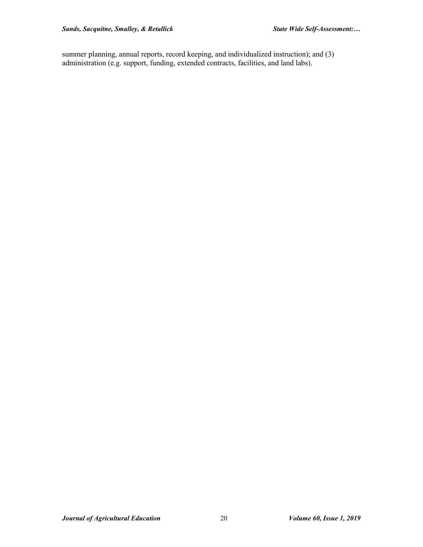summer planning, annual reports, record keeping, and individualized instruction); and (3) administration (e.g. support, funding, extended contracts, facilities, and land labs).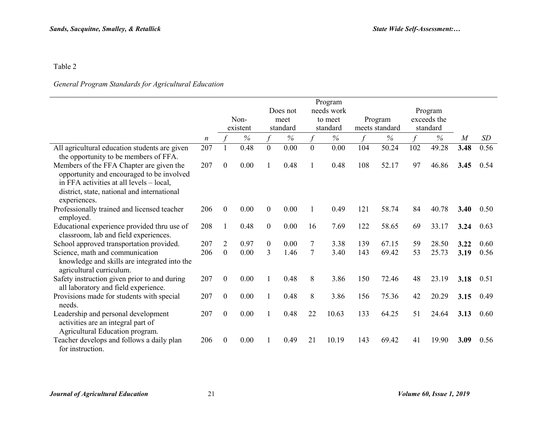# *General Program Standards for Agricultural Education*

|                                                                                                                                                                                                  |                  |                  | Non-     |                  | Does not<br>meet | Program<br>needs work<br>to meet |          |               | Program        |     | Program<br>exceeds the |      |      |
|--------------------------------------------------------------------------------------------------------------------------------------------------------------------------------------------------|------------------|------------------|----------|------------------|------------------|----------------------------------|----------|---------------|----------------|-----|------------------------|------|------|
|                                                                                                                                                                                                  |                  |                  | existent |                  | standard         |                                  | standard |               | meets standard |     | standard               |      |      |
|                                                                                                                                                                                                  | $\boldsymbol{n}$ |                  | $\%$     |                  | $\%$             |                                  | $\%$     | $\mathcal{L}$ | $\%$           |     | $\%$                   | M    | SD   |
| All agricultural education students are given<br>the opportunity to be members of FFA.                                                                                                           | 207              |                  | 0.48     | $\overline{0}$   | 0.00             | $\mathbf{0}$                     | 0.00     | 104           | 50.24          | 102 | 49.28                  | 3.48 | 0.56 |
| Members of the FFA Chapter are given the<br>opportunity and encouraged to be involved<br>in FFA activities at all levels – local,<br>district, state, national and international<br>experiences. | 207              | $\theta$         | 0.00     | 1                | 0.48             |                                  | 0.48     | 108           | 52.17          | 97  | 46.86                  | 3.45 | 0.54 |
| Professionally trained and licensed teacher<br>employed.                                                                                                                                         | 206              | $\overline{0}$   | 0.00     | $\theta$         | 0.00             |                                  | 0.49     | 121           | 58.74          | 84  | 40.78                  | 3.40 | 0.50 |
| Educational experience provided thru use of<br>classroom, lab and field experiences.                                                                                                             | 208              |                  | 0.48     | $\boldsymbol{0}$ | 0.00             | 16                               | 7.69     | 122           | 58.65          | 69  | 33.17                  | 3.24 | 0.63 |
| School approved transportation provided.                                                                                                                                                         | 207              | 2                | 0.97     | $\mathbf{0}$     | 0.00             |                                  | 3.38     | 139           | 67.15          | 59  | 28.50                  | 3.22 | 0.60 |
| Science, math and communication<br>knowledge and skills are integrated into the<br>agricultural curriculum.                                                                                      | 206              | $\boldsymbol{0}$ | 0.00     | 3                | 1.46             | $\overline{7}$                   | 3.40     | 143           | 69.42          | 53  | 25.73                  | 3.19 | 0.56 |
| Safety instruction given prior to and during<br>all laboratory and field experience.                                                                                                             | 207              | $\theta$         | 0.00     | 1                | 0.48             | 8                                | 3.86     | 150           | 72.46          | 48  | 23.19                  | 3.18 | 0.51 |
| Provisions made for students with special<br>needs.                                                                                                                                              | 207              | $\theta$         | 0.00     | $\mathbf{1}$     | 0.48             | 8                                | 3.86     | 156           | 75.36          | 42  | 20.29                  | 3.15 | 0.49 |
| Leadership and personal development<br>activities are an integral part of<br>Agricultural Education program.                                                                                     | 207              | $\overline{0}$   | 0.00     | 1                | 0.48             | 22                               | 10.63    | 133           | 64.25          | 51  | 24.64                  | 3.13 | 0.60 |
| Teacher develops and follows a daily plan<br>for instruction.                                                                                                                                    | 206              | 0                | 0.00     |                  | 0.49             | 21                               | 10.19    | 143           | 69.42          | 41  | 19.90                  | 3.09 | 0.56 |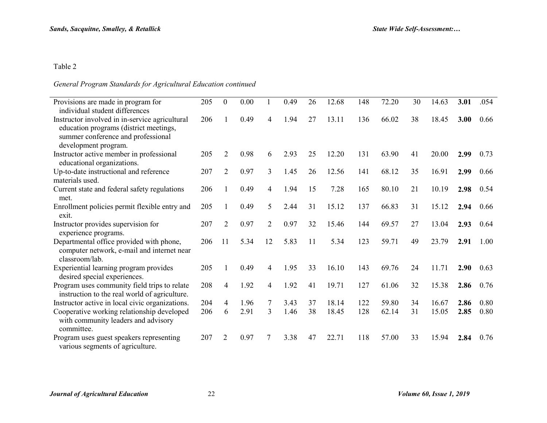# *General Program Standards for Agricultural Education continued*

| Provisions are made in program for                                                                                                                     | 205 | $\mathbf{0}$   | 0.00 |                | 0.49 | 26 | 12.68 | 148 | 72.20 | 30 | 14.63 | 3.01 | .054 |
|--------------------------------------------------------------------------------------------------------------------------------------------------------|-----|----------------|------|----------------|------|----|-------|-----|-------|----|-------|------|------|
| individual student differences                                                                                                                         |     |                |      |                |      |    |       |     |       |    |       |      |      |
| Instructor involved in in-service agricultural<br>education programs (district meetings,<br>summer conference and professional<br>development program. | 206 |                | 0.49 | $\overline{4}$ | 1.94 | 27 | 13.11 | 136 | 66.02 | 38 | 18.45 | 3.00 | 0.66 |
| Instructor active member in professional<br>educational organizations.                                                                                 | 205 | $\overline{2}$ | 0.98 | 6              | 2.93 | 25 | 12.20 | 131 | 63.90 | 41 | 20.00 | 2.99 | 0.73 |
| Up-to-date instructional and reference<br>materials used.                                                                                              | 207 | $\overline{2}$ | 0.97 | 3              | 1.45 | 26 | 12.56 | 141 | 68.12 | 35 | 16.91 | 2.99 | 0.66 |
| Current state and federal safety regulations<br>met.                                                                                                   | 206 |                | 0.49 | $\overline{4}$ | 1.94 | 15 | 7.28  | 165 | 80.10 | 21 | 10.19 | 2.98 | 0.54 |
| Enrollment policies permit flexible entry and<br>exit.                                                                                                 | 205 |                | 0.49 | 5              | 2.44 | 31 | 15.12 | 137 | 66.83 | 31 | 15.12 | 2.94 | 0.66 |
| Instructor provides supervision for<br>experience programs.                                                                                            | 207 | $\overline{2}$ | 0.97 | 2              | 0.97 | 32 | 15.46 | 144 | 69.57 | 27 | 13.04 | 2.93 | 0.64 |
| Departmental office provided with phone,<br>computer network, e-mail and internet near<br>classroom/lab.                                               | 206 | 11             | 5.34 | 12             | 5.83 | 11 | 5.34  | 123 | 59.71 | 49 | 23.79 | 2.91 | 1.00 |
| Experiential learning program provides<br>desired special experiences.                                                                                 | 205 |                | 0.49 | $\overline{4}$ | 1.95 | 33 | 16.10 | 143 | 69.76 | 24 | 11.71 | 2.90 | 0.63 |
| Program uses community field trips to relate<br>instruction to the real world of agriculture.                                                          | 208 | 4              | 1.92 | $\overline{4}$ | 1.92 | 41 | 19.71 | 127 | 61.06 | 32 | 15.38 | 2.86 | 0.76 |
| Instructor active in local civic organizations.                                                                                                        | 204 | 4              | 1.96 | 7              | 3.43 | 37 | 18.14 | 122 | 59.80 | 34 | 16.67 | 2.86 | 0.80 |
| Cooperative working relationship developed<br>with community leaders and advisory<br>committee.                                                        | 206 | 6              | 2.91 | 3              | 1.46 | 38 | 18.45 | 128 | 62.14 | 31 | 15.05 | 2.85 | 0.80 |
| Program uses guest speakers representing<br>various segments of agriculture.                                                                           | 207 | $\overline{2}$ | 0.97 | 7              | 3.38 | 47 | 22.71 | 118 | 57.00 | 33 | 15.94 | 2.84 | 0.76 |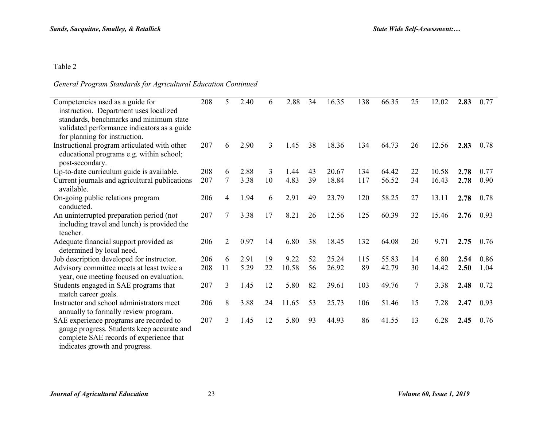## *General Program Standards for Agricultural Education Continued*

| Competencies used as a guide for<br>instruction. Department uses localized            | 208 | 5              | 2.40 | 6  | 2.88  | 34 | 16.35 | 138 | 66.35 | 25 | 12.02 | 2.83 | 0.77 |
|---------------------------------------------------------------------------------------|-----|----------------|------|----|-------|----|-------|-----|-------|----|-------|------|------|
| standards, benchmarks and minimum state                                               |     |                |      |    |       |    |       |     |       |    |       |      |      |
| validated performance indicators as a guide                                           |     |                |      |    |       |    |       |     |       |    |       |      |      |
| for planning for instruction.                                                         |     |                |      |    |       |    |       |     |       |    |       |      |      |
| Instructional program articulated with other                                          | 207 | 6              | 2.90 | 3  | 1.45  | 38 | 18.36 | 134 | 64.73 | 26 | 12.56 | 2.83 | 0.78 |
| educational programs e.g. within school;<br>post-secondary.                           |     |                |      |    |       |    |       |     |       |    |       |      |      |
| Up-to-date curriculum guide is available.                                             | 208 | 6              | 2.88 | 3  | 1.44  | 43 | 20.67 | 134 | 64.42 | 22 | 10.58 | 2.78 | 0.77 |
| Current journals and agricultural publications<br>available.                          | 207 | 7              | 3.38 | 10 | 4.83  | 39 | 18.84 | 117 | 56.52 | 34 | 16.43 | 2.78 | 0.90 |
| On-going public relations program<br>conducted.                                       | 206 | $\overline{4}$ | 1.94 | 6  | 2.91  | 49 | 23.79 | 120 | 58.25 | 27 | 13.11 | 2.78 | 0.78 |
| An uninterrupted preparation period (not                                              | 207 | 7              | 3.38 | 17 | 8.21  | 26 | 12.56 | 125 | 60.39 | 32 | 15.46 | 2.76 | 0.93 |
| including travel and lunch) is provided the<br>teacher.                               |     |                |      |    |       |    |       |     |       |    |       |      |      |
| Adequate financial support provided as<br>determined by local need.                   | 206 | 2              | 0.97 | 14 | 6.80  | 38 | 18.45 | 132 | 64.08 | 20 | 9.71  | 2.75 | 0.76 |
| Job description developed for instructor.                                             | 206 | 6              | 2.91 | 19 | 9.22  | 52 | 25.24 | 115 | 55.83 | 14 | 6.80  | 2.54 | 0.86 |
| Advisory committee meets at least twice a<br>year, one meeting focused on evaluation. | 208 | 11             | 5.29 | 22 | 10.58 | 56 | 26.92 | 89  | 42.79 | 30 | 14.42 | 2.50 | 1.04 |
| Students engaged in SAE programs that<br>match career goals.                          | 207 | 3              | 1.45 | 12 | 5.80  | 82 | 39.61 | 103 | 49.76 | 7  | 3.38  | 2.48 | 0.72 |
| Instructor and school administrators meet<br>annually to formally review program.     | 206 | 8              | 3.88 | 24 | 11.65 | 53 | 25.73 | 106 | 51.46 | 15 | 7.28  | 2.47 | 0.93 |
| SAE experience programs are recorded to                                               | 207 | 3              | 1.45 | 12 | 5.80  | 93 | 44.93 | 86  | 41.55 | 13 | 6.28  | 2.45 | 0.76 |
| gauge progress. Students keep accurate and                                            |     |                |      |    |       |    |       |     |       |    |       |      |      |
| complete SAE records of experience that                                               |     |                |      |    |       |    |       |     |       |    |       |      |      |
| indicates growth and progress.                                                        |     |                |      |    |       |    |       |     |       |    |       |      |      |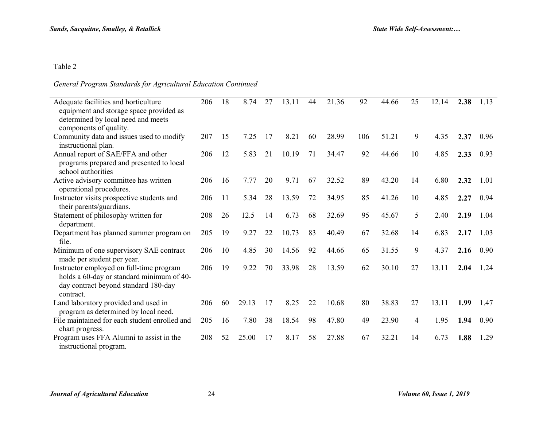## *General Program Standards for Agricultural Education Continued*

| Adequate facilities and horticulture<br>equipment and storage space provided as                                                            | 206 | 18 | 8.74  | 27 | 13.11 | 44 | 21.36 | 92  | 44.66 | 25 | 12.14 | 2.38 | 1.13 |
|--------------------------------------------------------------------------------------------------------------------------------------------|-----|----|-------|----|-------|----|-------|-----|-------|----|-------|------|------|
| determined by local need and meets<br>components of quality.                                                                               |     |    |       |    |       |    |       |     |       |    |       |      |      |
| Community data and issues used to modify<br>instructional plan.                                                                            | 207 | 15 | 7.25  | 17 | 8.21  | 60 | 28.99 | 106 | 51.21 | 9  | 4.35  | 2.37 | 0.96 |
| Annual report of SAE/FFA and other<br>programs prepared and presented to local<br>school authorities                                       | 206 | 12 | 5.83  | 21 | 10.19 | 71 | 34.47 | 92  | 44.66 | 10 | 4.85  | 2.33 | 0.93 |
| Active advisory committee has written<br>operational procedures.                                                                           | 206 | 16 | 7.77  | 20 | 9.71  | 67 | 32.52 | 89  | 43.20 | 14 | 6.80  | 2.32 | 1.01 |
| Instructor visits prospective students and<br>their parents/guardians.                                                                     | 206 | 11 | 5.34  | 28 | 13.59 | 72 | 34.95 | 85  | 41.26 | 10 | 4.85  | 2.27 | 0.94 |
| Statement of philosophy written for<br>department.                                                                                         | 208 | 26 | 12.5  | 14 | 6.73  | 68 | 32.69 | 95  | 45.67 | 5  | 2.40  | 2.19 | 1.04 |
| Department has planned summer program on<br>file.                                                                                          | 205 | 19 | 9.27  | 22 | 10.73 | 83 | 40.49 | 67  | 32.68 | 14 | 6.83  | 2.17 | 1.03 |
| Minimum of one supervisory SAE contract<br>made per student per year.                                                                      | 206 | 10 | 4.85  | 30 | 14.56 | 92 | 44.66 | 65  | 31.55 | 9  | 4.37  | 2.16 | 0.90 |
| Instructor employed on full-time program<br>holds a 60-day or standard minimum of 40-<br>day contract beyond standard 180-day<br>contract. | 206 | 19 | 9.22  | 70 | 33.98 | 28 | 13.59 | 62  | 30.10 | 27 | 13.11 | 2.04 | 1.24 |
| Land laboratory provided and used in<br>program as determined by local need.                                                               | 206 | 60 | 29.13 | 17 | 8.25  | 22 | 10.68 | 80  | 38.83 | 27 | 13.11 | 1.99 | 1.47 |
| File maintained for each student enrolled and<br>chart progress.                                                                           | 205 | 16 | 7.80  | 38 | 18.54 | 98 | 47.80 | 49  | 23.90 | 4  | 1.95  | 1.94 | 0.90 |
| Program uses FFA Alumni to assist in the<br>instructional program.                                                                         | 208 | 52 | 25.00 | 17 | 8.17  | 58 | 27.88 | 67  | 32.21 | 14 | 6.73  | 1.88 | 1.29 |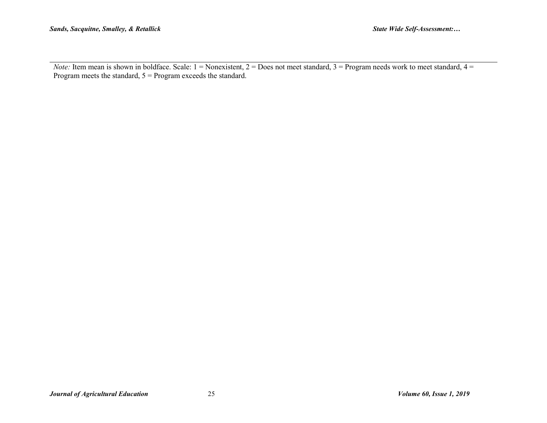*Note:* Item mean is shown in boldface. Scale: 1 = Nonexistent, 2 = Does not meet standard, 3 = Program needs work to meet standard, 4 = Program meets the standard, 5 = Program exceeds the standard.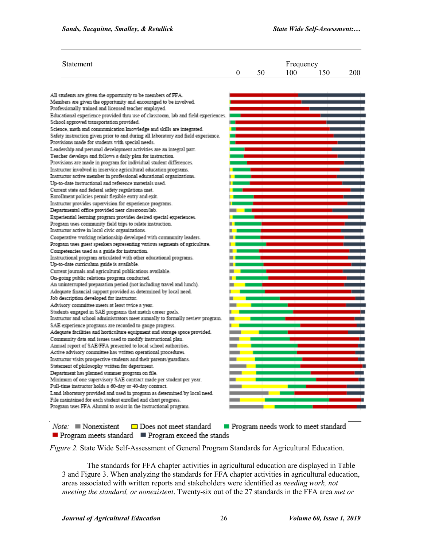| Statement                                                                                                                             | 0 | 50 | Frequency<br>100 | 150 | 200 |
|---------------------------------------------------------------------------------------------------------------------------------------|---|----|------------------|-----|-----|
| All students are given the opportunity to be members of FFA.                                                                          |   |    |                  |     |     |
| Members are given the opportunity and encouraged to be involved.                                                                      |   |    |                  |     |     |
| Professionally trained and licensed teacher employed.                                                                                 |   |    |                  |     |     |
| Educational experience provided thru use of classroom, lab and field experiences.<br>School approved transportation provided.         |   |    |                  |     |     |
| Science, math and communication knowledge and skills are integrated.                                                                  |   |    |                  |     |     |
| Safety instruction given prior to and during all laboratory and field experience.<br>Provisions made for students with special needs. |   |    |                  |     |     |
| Leadership and personal development activities are an integral part.                                                                  |   |    |                  |     |     |
| Teacher develops and follows a daily plan for instruction.                                                                            |   |    |                  |     |     |
| Provisions are made in program for individual student differences.                                                                    |   |    |                  |     |     |
| Instructor involved in inservice agricultural education programs.                                                                     |   |    |                  |     |     |
| Instructor active member in professional educational organizations.                                                                   |   |    |                  |     |     |
| Up-to-date instructional and reference materials used.                                                                                |   |    |                  |     |     |
| Current state and federal safety regulations met.                                                                                     |   |    |                  |     |     |
| Enrollment policies permit flexible entry and exit.                                                                                   |   |    |                  |     |     |
| Instructor provides supervision for experience programs.<br>Departmental office provided near classroom/lab.                          |   |    |                  |     |     |
| Experiential learning program provides desired special experiences.                                                                   |   |    |                  |     |     |
| Program uses community field trips to relate instruction.                                                                             |   |    |                  |     |     |
| Instructor active in local civic organizations.                                                                                       |   |    |                  |     |     |
| Cooperative working relationship developed with community leaders.                                                                    |   |    |                  |     |     |
| Program uses guest speakers representing various segments of agriculture.                                                             |   |    |                  |     |     |
| Competencies used as a guide for instruction.                                                                                         |   |    |                  |     |     |
| Instructional program articulated with other educational programs.                                                                    |   |    |                  |     |     |
| Up-to-date curriculum guide is available.                                                                                             |   |    |                  |     |     |
| Current journals and agricultural publications available.                                                                             |   |    |                  |     |     |
| On-going public relations program conducted.                                                                                          |   |    |                  |     |     |
| An uninterrupted preparation period (not including travel and lunch).                                                                 |   |    |                  |     |     |
| Adequate financial support provided as determined by local need.                                                                      |   |    |                  |     |     |
| Job description developed for instructor.                                                                                             |   |    |                  |     |     |
| Advisory committee meets at least twice a year.                                                                                       |   |    |                  |     |     |
| Students engaged in SAE programs that match career goals.                                                                             |   |    |                  |     |     |
| Instructor and school administrators meet annually to formally review program.                                                        |   |    |                  |     |     |
| SAE experience programs are recorded to gauge progress.                                                                               |   |    |                  |     |     |
| Adequate facilities and horticulture equipment and storage space provided.                                                            |   |    |                  |     |     |
| Community data and issues used to modify instructional plan.                                                                          |   |    |                  |     |     |
| Annual report of SAE/FFA presented to local school authorities.                                                                       |   |    |                  |     |     |
| Active advisory committee has written operational procedures.                                                                         |   |    |                  |     |     |
| Instructor visits prospective students and their parents/guardians.<br>Statement of philosophy written for department.                |   |    |                  |     |     |
| Department has planned summer program on file.                                                                                        |   |    |                  |     |     |
| Minimum of one supervisory SAE contract made per student per year.                                                                    |   |    |                  |     |     |
| Full-time instructor holds a 60-day or 40-day contract.                                                                               |   |    |                  |     |     |
| Land laboratory provided and used in program as determined by local need.                                                             |   |    |                  |     |     |
| File maintained for each student enrolled and chart progress.                                                                         |   |    |                  |     |     |
| Program uses FFA Alumni to assist in the instructional program.                                                                       |   |    |                  |     |     |

 $Note:$  Nonexistent □ Does not meet standard Program needs work to meet standard Program meets standard Program exceed the stands

*Figure 2.* State Wide Self-Assessment of General Program Standards for Agricultural Education.

The standards for FFA chapter activities in agricultural education are displayed in Table 3 and Figure 3. When analyzing the standards for FFA chapter activities in agricultural education, areas associated with written reports and stakeholders were identified as *needing work, not meeting the standard, or nonexistent*. Twenty-six out of the 27 standards in the FFA area *met or*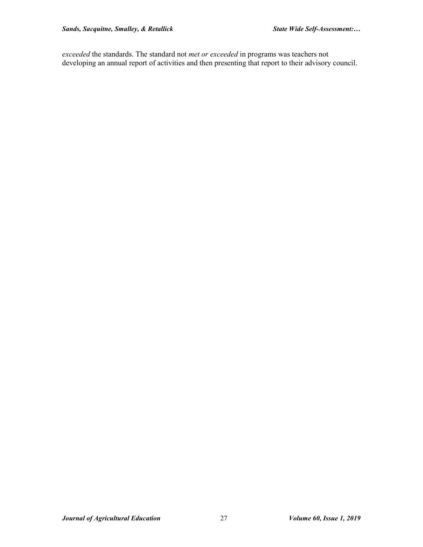*exceeded* the standards. The standard not *met or exceeded* in programs was teachers not developing an annual report of activities and then presenting that report to their advisory council.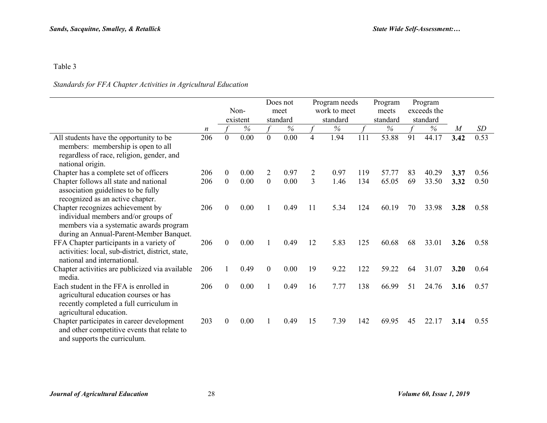## *Standards for FFA Chapter Activities in Agricultural Education*

|                                                                                                                                                                |     | Non-<br>existent |      | Does not<br>meet<br>standard |      | Program needs<br>work to meet<br>standard |      |     | Program<br>meets<br>standard | Program<br>exceeds the<br>standard |       |                |      |
|----------------------------------------------------------------------------------------------------------------------------------------------------------------|-----|------------------|------|------------------------------|------|-------------------------------------------|------|-----|------------------------------|------------------------------------|-------|----------------|------|
|                                                                                                                                                                | n   |                  | $\%$ |                              | $\%$ |                                           | $\%$ |     | $\%$                         |                                    | $\%$  | $\overline{M}$ | SD   |
| All students have the opportunity to be<br>members: membership is open to all<br>regardless of race, religion, gender, and<br>national origin.                 | 206 | $\theta$         | 0.00 | $\theta$                     | 0.00 | $\overline{4}$                            | 1.94 | 111 | 53.88                        | 91                                 | 44.17 | 3.42           | 0.53 |
| Chapter has a complete set of officers                                                                                                                         | 206 | $\theta$         | 0.00 | 2                            | 0.97 | 2                                         | 0.97 | 119 | 57.77                        | 83                                 | 40.29 | 3.37           | 0.56 |
| Chapter follows all state and national<br>association guidelines to be fully<br>recognized as an active chapter.                                               | 206 | $\theta$         | 0.00 | $\mathbf{0}$                 | 0.00 | 3                                         | 1.46 | 134 | 65.05                        | 69                                 | 33.50 | 3.32           | 0.50 |
| Chapter recognizes achievement by<br>individual members and/or groups of<br>members via a systematic awards program<br>during an Annual-Parent-Member Banquet. | 206 | $\boldsymbol{0}$ | 0.00 | 1                            | 0.49 | 11                                        | 5.34 | 124 | 60.19                        | 70                                 | 33.98 | 3.28           | 0.58 |
| FFA Chapter participants in a variety of<br>activities: local, sub-district, district, state,<br>national and international.                                   | 206 | $\mathbf{0}$     | 0.00 |                              | 0.49 | 12                                        | 5.83 | 125 | 60.68                        | 68                                 | 33.01 | 3.26           | 0.58 |
| Chapter activities are publicized via available<br>media.                                                                                                      | 206 |                  | 0.49 | $\mathbf{0}$                 | 0.00 | 19                                        | 9.22 | 122 | 59.22                        | 64                                 | 31.07 | 3.20           | 0.64 |
| Each student in the FFA is enrolled in<br>agricultural education courses or has<br>recently completed a full curriculum in<br>agricultural education.          | 206 | $\boldsymbol{0}$ | 0.00 |                              | 0.49 | 16                                        | 7.77 | 138 | 66.99                        | 51                                 | 24.76 | 3.16           | 0.57 |
| Chapter participates in career development<br>and other competitive events that relate to<br>and supports the curriculum.                                      | 203 | $\boldsymbol{0}$ | 0.00 |                              | 0.49 | 15                                        | 7.39 | 142 | 69.95                        | 45                                 | 22.17 | 3.14           | 0.55 |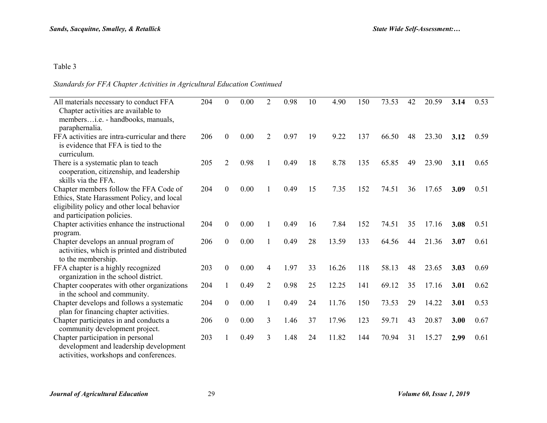## *Standards for FFA Chapter Activities in Agricultural Education Continued*

| All materials necessary to conduct FFA<br>Chapter activities are available to                               | 204 | $\boldsymbol{0}$ | 0.00 | $\overline{2}$ | 0.98 | 10 | 4.90  | 150 | 73.53 | 42 | 20.59 | 3.14 | 0.53 |
|-------------------------------------------------------------------------------------------------------------|-----|------------------|------|----------------|------|----|-------|-----|-------|----|-------|------|------|
| membersi.e. - handbooks, manuals,                                                                           |     |                  |      |                |      |    |       |     |       |    |       |      |      |
| paraphernalia.                                                                                              |     |                  |      |                |      |    |       |     |       |    |       |      |      |
| FFA activities are intra-curricular and there                                                               | 206 | $\boldsymbol{0}$ | 0.00 | $\overline{2}$ | 0.97 | 19 | 9.22  | 137 | 66.50 | 48 | 23.30 | 3.12 | 0.59 |
| is evidence that FFA is tied to the<br>curriculum.                                                          |     |                  |      |                |      |    |       |     |       |    |       |      |      |
| There is a systematic plan to teach                                                                         | 205 | $\overline{2}$   | 0.98 |                | 0.49 | 18 | 8.78  | 135 | 65.85 | 49 | 23.90 | 3.11 | 0.65 |
| cooperation, citizenship, and leadership<br>skills via the FFA.                                             |     |                  |      |                |      |    |       |     |       |    |       |      |      |
| Chapter members follow the FFA Code of                                                                      | 204 | $\overline{0}$   | 0.00 |                | 0.49 | 15 | 7.35  | 152 | 74.51 | 36 | 17.65 | 3.09 | 0.51 |
| Ethics, State Harassment Policy, and local                                                                  |     |                  |      |                |      |    |       |     |       |    |       |      |      |
| eligibility policy and other local behavior                                                                 |     |                  |      |                |      |    |       |     |       |    |       |      |      |
| and participation policies.                                                                                 |     |                  |      |                |      |    |       |     |       |    |       |      |      |
| Chapter activities enhance the instructional                                                                | 204 | $\boldsymbol{0}$ | 0.00 | 1              | 0.49 | 16 | 7.84  | 152 | 74.51 | 35 | 17.16 | 3.08 | 0.51 |
| program.                                                                                                    |     |                  |      |                |      |    |       |     |       |    |       |      |      |
| Chapter develops an annual program of<br>activities, which is printed and distributed<br>to the membership. | 206 | $\overline{0}$   | 0.00 | 1              | 0.49 | 28 | 13.59 | 133 | 64.56 | 44 | 21.36 | 3.07 | 0.61 |
| FFA chapter is a highly recognized                                                                          | 203 | $\overline{0}$   | 0.00 | $\overline{4}$ | 1.97 | 33 | 16.26 | 118 | 58.13 | 48 | 23.65 | 3.03 | 0.69 |
| organization in the school district.                                                                        |     |                  |      |                |      |    |       |     |       |    |       |      |      |
| Chapter cooperates with other organizations                                                                 | 204 |                  | 0.49 | $\overline{2}$ | 0.98 | 25 | 12.25 | 141 | 69.12 | 35 | 17.16 | 3.01 | 0.62 |
| in the school and community.                                                                                |     |                  |      |                |      |    |       |     |       |    |       |      |      |
| Chapter develops and follows a systematic                                                                   | 204 | $\overline{0}$   | 0.00 |                | 0.49 | 24 | 11.76 | 150 | 73.53 | 29 | 14.22 | 3.01 | 0.53 |
| plan for financing chapter activities.                                                                      |     |                  |      |                |      |    |       |     |       |    |       |      |      |
| Chapter participates in and conducts a<br>community development project.                                    | 206 | $\boldsymbol{0}$ | 0.00 | 3              | 1.46 | 37 | 17.96 | 123 | 59.71 | 43 | 20.87 | 3.00 | 0.67 |
| Chapter participation in personal                                                                           | 203 |                  | 0.49 | 3              | 1.48 | 24 | 11.82 | 144 | 70.94 | 31 | 15.27 | 2.99 | 0.61 |
| development and leadership development                                                                      |     |                  |      |                |      |    |       |     |       |    |       |      |      |
| activities, workshops and conferences.                                                                      |     |                  |      |                |      |    |       |     |       |    |       |      |      |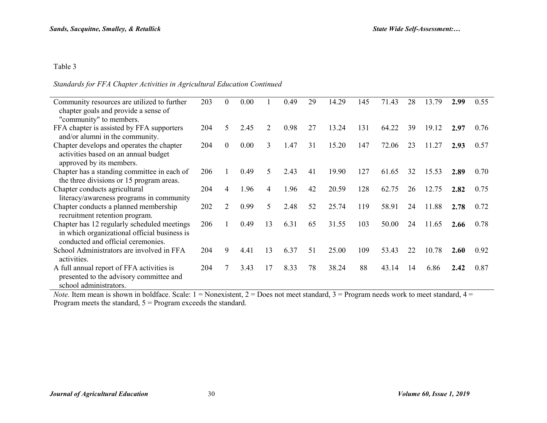#### *Standards for FFA Chapter Activities in Agricultural Education Continued*

| Community resources are utilized to further<br>chapter goals and provide a sense of                                               | 203 | $\theta$         | 0.00 |    | 0.49 | 29 | 14.29 | 145 | 71.43 | 28 | 13.79 | 2.99 | 0.55 |
|-----------------------------------------------------------------------------------------------------------------------------------|-----|------------------|------|----|------|----|-------|-----|-------|----|-------|------|------|
| "community" to members.                                                                                                           |     |                  |      |    |      |    |       |     |       |    |       |      |      |
| FFA chapter is assisted by FFA supporters<br>and/or alumni in the community.                                                      | 204 | 5                | 2.45 | 2  | 0.98 | 27 | 13.24 | 131 | 64.22 | 39 | 19.12 | 2.97 | 0.76 |
| Chapter develops and operates the chapter<br>activities based on an annual budget<br>approved by its members.                     | 204 | $\boldsymbol{0}$ | 0.00 | 3  | 1.47 | 31 | 15.20 | 147 | 72.06 | 23 | 11.27 | 2.93 | 0.57 |
| Chapter has a standing committee in each of<br>the three divisions or 15 program areas.                                           | 206 |                  | 0.49 | 5  | 2.43 | 41 | 19.90 | 127 | 61.65 | 32 | 15.53 | 2.89 | 0.70 |
| Chapter conducts agricultural<br>literacy/awareness programs in community                                                         | 204 | 4                | 1.96 | 4  | 1.96 | 42 | 20.59 | 128 | 62.75 | 26 | 12.75 | 2.82 | 0.75 |
| Chapter conducts a planned membership<br>recruitment retention program.                                                           | 202 | 2                | 0.99 | 5  | 2.48 | 52 | 25.74 | 119 | 58.91 | 24 | 11.88 | 2.78 | 0.72 |
| Chapter has 12 regularly scheduled meetings<br>in which organizational official business is<br>conducted and official ceremonies. | 206 |                  | 0.49 | 13 | 6.31 | 65 | 31.55 | 103 | 50.00 | 24 | 11.65 | 2.66 | 0.78 |
| School Administrators are involved in FFA<br>activities.                                                                          | 204 | 9                | 4.41 | 13 | 6.37 | 51 | 25.00 | 109 | 53.43 | 22 | 10.78 | 2.60 | 0.92 |
| A full annual report of FFA activities is<br>presented to the advisory committee and<br>school administrators.                    | 204 |                  | 3.43 | 17 | 8.33 | 78 | 38.24 | 88  | 43.14 | 14 | 6.86  | 2.42 | 0.87 |

*Note.* Item mean is shown in boldface. Scale:  $1 =$  Nonexistent,  $2 =$  Does not meet standard,  $3 =$  Program needs work to meet standard,  $4 =$ Program meets the standard,  $5 =$  Program exceeds the standard.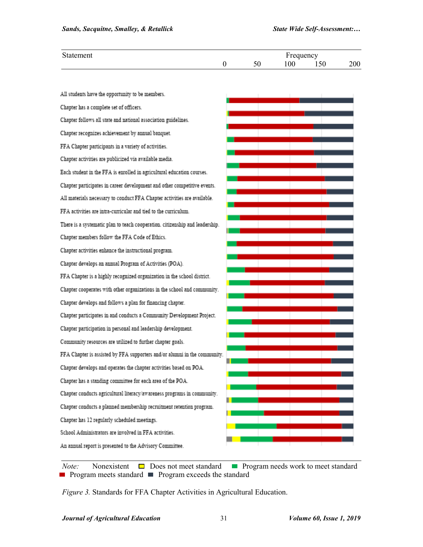| $\sim$<br>rtement |    |     | Frequency              |     |
|-------------------|----|-----|------------------------|-----|
|                   | υc | 100 | $\sim$ $\sim$<br>1 J U | 200 |

| All students have the opportunity to be members.                             |  |  |
|------------------------------------------------------------------------------|--|--|
| Chapter has a complete set of officers.                                      |  |  |
| Chapter follows all state and national association guidelines.               |  |  |
| Chapter recognizes achievement by annual banquet.                            |  |  |
| FFA Chapter participants in a variety of activities.                         |  |  |
| Chapter activities are publicized via available media.                       |  |  |
| Each student in the FFA is enrolled in agricultural education courses.       |  |  |
| Chapter participates in career development and other competitive events.     |  |  |
| All materials necessary to conduct FFA Chapter activities are available.     |  |  |
| FFA activities are intra-curricular and tied to the curriculum.              |  |  |
| There is a systematic plan to teach cooperation. citizenship and leadership. |  |  |
| Chapter members follow the FFA Code of Ethics.                               |  |  |
| Chapter activities enhance the instructional program.                        |  |  |
| Chapter develops an annual Program of Activities (POA).                      |  |  |
| FFA Chapter is a highly recognized organization in the school district.      |  |  |
| Chapter cooperates with other organizations in the school and community.     |  |  |
| Chapter develops and follows a plan for financing chapter.                   |  |  |
| Chapter participates in and conducts a Community Development Project.        |  |  |
| Chapter participation in personal and leadership development.                |  |  |
| Community resources are utilized to further chapter goals.                   |  |  |
| FFA Chapter is assisted by FFA supporters and/or alumni in the community.    |  |  |
| Chapter develops and operates the chapter activities based on POA.           |  |  |
| Chapter has a standing committee for each area of the POA.                   |  |  |
| Chapter conducts agricultural literacy/awareness programs in community.      |  |  |
| Chapter conducts a planned membership recruitment retention program.         |  |  |
| Chapter has 12 regularly scheduled meetings.                                 |  |  |
| School Administrators are involved in FFA activities.                        |  |  |
| An annual report is presented to the Advisory Committee.                     |  |  |

*Note:* Nonexistent  $\Box$  Does not meet standard  $\Box$  Program needs work to meet standard **Program meets standard Program exceeds the standard** 

*Figure 3.* Standards for FFA Chapter Activities in Agricultural Education.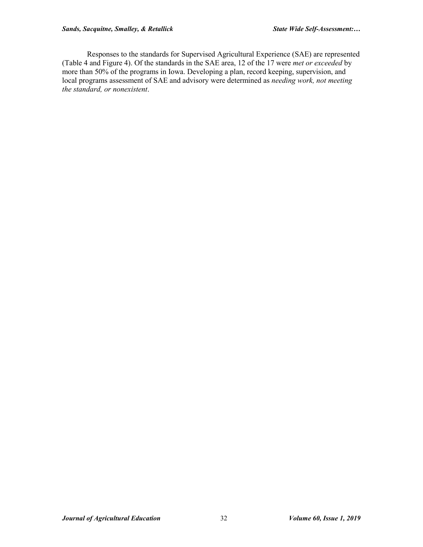Responses to the standards for Supervised Agricultural Experience (SAE) are represented (Table 4 and Figure 4). Of the standards in the SAE area, 12 of the 17 were *met or exceeded* by more than 50% of the programs in Iowa. Developing a plan, record keeping, supervision, and local programs assessment of SAE and advisory were determined as *needing work, not meeting the standard, or nonexistent*.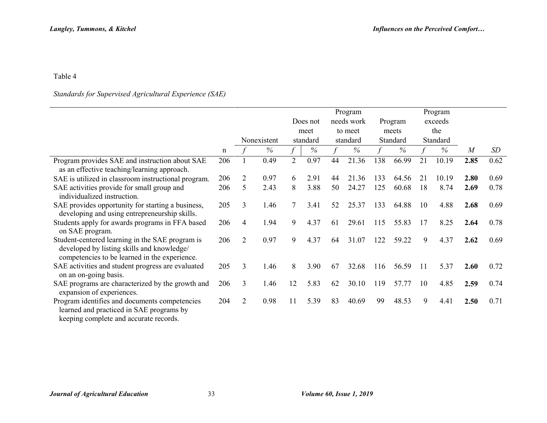## *Standards for Supervised Agricultural Experience (SAE)*

|                                                                                                                                                |     |                |             |                |          |    | Program    |     |          |    | Program  |                |      |
|------------------------------------------------------------------------------------------------------------------------------------------------|-----|----------------|-------------|----------------|----------|----|------------|-----|----------|----|----------|----------------|------|
|                                                                                                                                                |     |                |             |                | Does not |    | needs work |     | Program  |    | exceeds  |                |      |
|                                                                                                                                                |     |                |             |                | meet     |    | to meet    |     | meets    |    | the      |                |      |
|                                                                                                                                                |     |                | Nonexistent |                | standard |    | standard   |     | Standard |    | Standard |                |      |
|                                                                                                                                                | n   |                | $\%$        |                | $\%$     |    | $\%$       |     | $\%$     |    | $\%$     | $\overline{M}$ | SD   |
| Program provides SAE and instruction about SAE                                                                                                 | 206 |                | 0.49        | $\overline{2}$ | 0.97     | 44 | 21.36      | 138 | 66.99    | 21 | 10.19    | 2.85           | 0.62 |
| as an effective teaching/learning approach.                                                                                                    |     |                |             |                |          |    |            |     |          |    |          |                |      |
| SAE is utilized in classroom instructional program.                                                                                            | 206 | $\overline{2}$ | 0.97        | 6              | 2.91     | 44 | 21.36      | 133 | 64.56    | 21 | 10.19    | 2.80           | 0.69 |
| SAE activities provide for small group and<br>individualized instruction.                                                                      | 206 | 5              | 2.43        | 8              | 3.88     | 50 | 24.27      | 125 | 60.68    | 18 | 8.74     | 2.69           | 0.78 |
| SAE provides opportunity for starting a business,<br>developing and using entrepreneurship skills.                                             | 205 | 3              | 1.46        | 7              | 3.41     | 52 | 25.37      | 133 | 64.88    | 10 | 4.88     | 2.68           | 0.69 |
| Students apply for awards programs in FFA based<br>on SAE program.                                                                             | 206 | 4              | 1.94        | 9              | 4.37     | 61 | 29.61      | 115 | 55.83    | 17 | 8.25     | 2.64           | 0.78 |
| Student-centered learning in the SAE program is<br>developed by listing skills and knowledge/<br>competencies to be learned in the experience. | 206 | $\overline{2}$ | 0.97        | 9              | 4.37     | 64 | 31.07      | 122 | 59.22    | 9  | 4.37     | 2.62           | 0.69 |
| SAE activities and student progress are evaluated<br>on an on-going basis.                                                                     | 205 | 3              | 1.46        | 8              | 3.90     | 67 | 32.68      | 116 | 56.59    | 11 | 5.37     | 2.60           | 0.72 |
| SAE programs are characterized by the growth and<br>expansion of experiences.                                                                  | 206 | 3              | 1.46        | 12             | 5.83     | 62 | 30.10      | 119 | 57.77    | 10 | 4.85     | 2.59           | 0.74 |
| Program identifies and documents competencies<br>learned and practiced in SAE programs by<br>keeping complete and accurate records.            | 204 | $\overline{2}$ | 0.98        | 11             | 5.39     | 83 | 40.69      | 99  | 48.53    | 9  | 4.41     | 2.50           | 0.71 |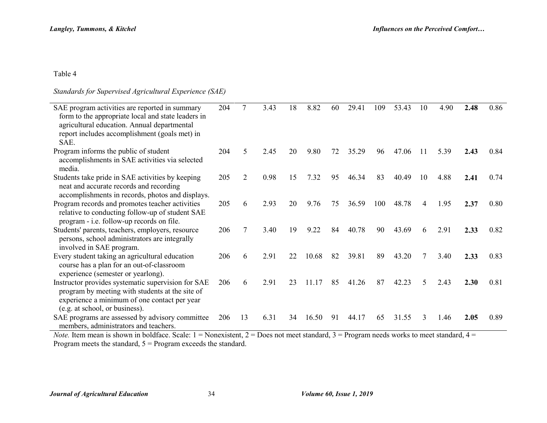#### *Standards for Supervised Agricultural Experience (SAE)*

| SAE program activities are reported in summary<br>form to the appropriate local and state leaders in<br>agricultural education. Annual departmental<br>report includes accomplishment (goals met) in | 204 | 7  | 3.43 | 18 | 8.82  | 60 | 29.41 | 109 | 53.43 | 10  | 4.90 | 2.48 | 0.86 |
|------------------------------------------------------------------------------------------------------------------------------------------------------------------------------------------------------|-----|----|------|----|-------|----|-------|-----|-------|-----|------|------|------|
| SAE.                                                                                                                                                                                                 |     |    |      |    |       |    |       |     |       |     |      |      |      |
| Program informs the public of student<br>accomplishments in SAE activities via selected<br>media.                                                                                                    | 204 | 5  | 2.45 | 20 | 9.80  | 72 | 35.29 | 96  | 47.06 | -11 | 5.39 | 2.43 | 0.84 |
| Students take pride in SAE activities by keeping<br>neat and accurate records and recording<br>accomplishments in records, photos and displays.                                                      | 205 | 2  | 0.98 | 15 | 7.32  | 95 | 46.34 | 83  | 40.49 | 10  | 4.88 | 2.41 | 0.74 |
| Program records and promotes teacher activities<br>relative to conducting follow-up of student SAE<br>program - i.e. follow-up records on file.                                                      | 205 | 6  | 2.93 | 20 | 9.76  | 75 | 36.59 | 100 | 48.78 | 4   | 1.95 | 2.37 | 0.80 |
| Students' parents, teachers, employers, resource<br>persons, school administrators are integrally<br>involved in SAE program.                                                                        | 206 |    | 3.40 | 19 | 9.22  | 84 | 40.78 | 90  | 43.69 | 6   | 2.91 | 2.33 | 0.82 |
| Every student taking an agricultural education<br>course has a plan for an out-of-classroom<br>experience (semester or yearlong).                                                                    | 206 | 6  | 2.91 | 22 | 10.68 | 82 | 39.81 | 89  | 43.20 |     | 3.40 | 2.33 | 0.83 |
| Instructor provides systematic supervision for SAE<br>program by meeting with students at the site of<br>experience a minimum of one contact per year<br>(e.g. at school, or business).              | 206 | 6  | 2.91 | 23 | 11.17 | 85 | 41.26 | 87  | 42.23 | 5   | 2.43 | 2.30 | 0.81 |
| SAE programs are assessed by advisory committee<br>members, administrators and teachers.                                                                                                             | 206 | 13 | 6.31 | 34 | 16.50 | 91 | 44.17 | 65  | 31.55 | 3   | 1.46 | 2.05 | 0.89 |
| Note Item mean is shown in boldfooe. Soole: $1-N$ one vistent $2-D$ cas not meet standard $2-D$ program needs works to meet standard $4-D$                                                           |     |    |      |    |       |    |       |     |       |     |      |      |      |

*Note.* Item mean is shown in boldface. Scale:  $1 =$  Nonexistent,  $2 =$  Does not meet standard,  $3 =$  Program needs works to meet standard,  $4 =$ Program meets the standard,  $5 =$  Program exceeds the standard.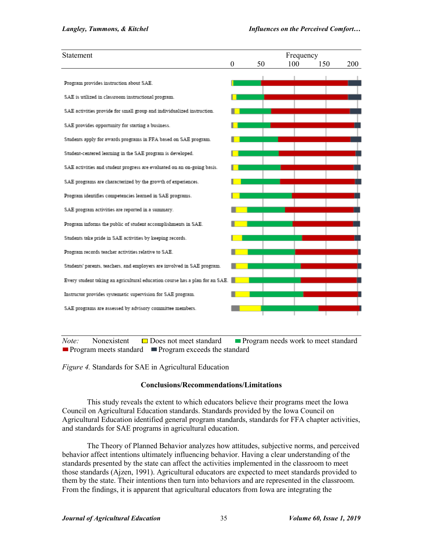| Statement                                                                    |          |    | Frequency |     |     |  |
|------------------------------------------------------------------------------|----------|----|-----------|-----|-----|--|
|                                                                              | $\theta$ | 50 | 100       | 150 | 200 |  |
| Program provides instruction about SAE.                                      |          |    |           |     |     |  |
| SAE is utilized in classroom instructional program.                          |          |    |           |     |     |  |
| SAE activities provide for small group and individualized instruction.       |          |    |           |     |     |  |
| SAE provides opportunity for starting a business.                            |          |    |           |     |     |  |
| Students apply for awards programs in FFA based on SAE program.              |          |    |           |     |     |  |
| Student-centered learning in the SAE program is developed.                   |          |    |           |     |     |  |
| SAE activities and student progress are evaluated on an on-going basis.      |          |    |           |     |     |  |
| SAE programs are characterized by the growth of experiences.                 |          |    |           |     |     |  |
| Program identifies competencies learned in SAE programs.                     |          |    |           |     |     |  |
| SAE program activities are reported in a summary.                            |          |    |           |     |     |  |
| Program informs the public of student accomplishments in SAE.                |          |    |           |     |     |  |
| Students take pride in SAE activities by keeping records.                    |          |    |           |     |     |  |
| Program records teacher activities relative to SAE.                          |          |    |           |     |     |  |
| Students' parents, teachers, and employers are involved in SAE program.      |          |    |           |     |     |  |
| Every student taking an agricultural education course has a plan for an SAE. |          |    |           |     |     |  |
| Instructor provides systematic supervision for SAE program.                  |          |    |           |     |     |  |
| SAE programs are assessed by advisory committee members.                     |          |    |           |     |     |  |
|                                                                              |          |    |           |     |     |  |

*Note:* Nonexistent **□** Does not meet standard **■** Program needs work to meet standard **Program meets standard Program exceeds the standard** 

*Figure 4.* Standards for SAE in Agricultural Education

#### **Conclusions/Recommendations/Limitations**

This study reveals the extent to which educators believe their programs meet the Iowa Council on Agricultural Education standards. Standards provided by the Iowa Council on Agricultural Education identified general program standards, standards for FFA chapter activities, and standards for SAE programs in agricultural education.

The Theory of Planned Behavior analyzes how attitudes, subjective norms, and perceived behavior affect intentions ultimately influencing behavior. Having a clear understanding of the standards presented by the state can affect the activities implemented in the classroom to meet those standards (Ajzen, 1991). Agricultural educators are expected to meet standards provided to them by the state. Their intentions then turn into behaviors and are represented in the classroom. From the findings, it is apparent that agricultural educators from Iowa are integrating the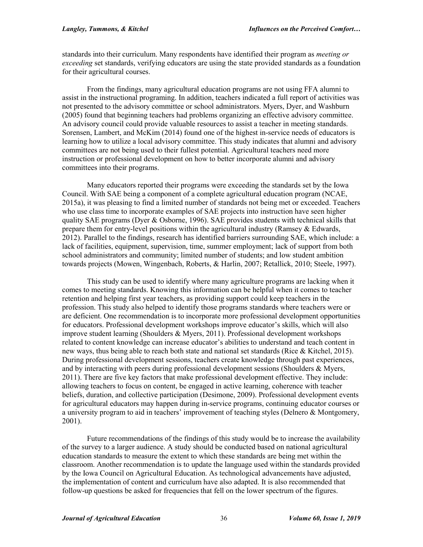standards into their curriculum. Many respondents have identified their program as *meeting or exceeding* set standards, verifying educators are using the state provided standards as a foundation for their agricultural courses.

From the findings, many agricultural education programs are not using FFA alumni to assist in the instructional programing. In addition, teachers indicated a full report of activities was not presented to the advisory committee or school administrators. Myers, Dyer, and Washburn (2005) found that beginning teachers had problems organizing an effective advisory committee. An advisory council could provide valuable resources to assist a teacher in meeting standards. Sorensen, Lambert, and McKim (2014) found one of the highest in-service needs of educators is learning how to utilize a local advisory committee. This study indicates that alumni and advisory committees are not being used to their fullest potential. Agricultural teachers need more instruction or professional development on how to better incorporate alumni and advisory committees into their programs.

Many educators reported their programs were exceeding the standards set by the Iowa Council. With SAE being a component of a complete agricultural education program (NCAE, 2015a), it was pleasing to find a limited number of standards not being met or exceeded. Teachers who use class time to incorporate examples of SAE projects into instruction have seen higher quality SAE programs (Dyer & Osborne, 1996). SAE provides students with technical skills that prepare them for entry-level positions within the agricultural industry (Ramsey & Edwards, 2012). Parallel to the findings, research has identified barriers surrounding SAE, which include: a lack of facilities, equipment, supervision, time, summer employment; lack of support from both school administrators and community; limited number of students; and low student ambition towards projects (Mowen, Wingenbach, Roberts, & Harlin, 2007; Retallick, 2010; Steele, 1997).

This study can be used to identify where many agriculture programs are lacking when it comes to meeting standards. Knowing this information can be helpful when it comes to teacher retention and helping first year teachers, as providing support could keep teachers in the profession. This study also helped to identify those programs standards where teachers were or are deficient. One recommendation is to incorporate more professional development opportunities for educators. Professional development workshops improve educator's skills, which will also improve student learning (Shoulders & Myers, 2011). Professional development workshops related to content knowledge can increase educator's abilities to understand and teach content in new ways, thus being able to reach both state and national set standards (Rice & Kitchel, 2015). During professional development sessions, teachers create knowledge through past experiences, and by interacting with peers during professional development sessions (Shoulders & Myers, 2011). There are five key factors that make professional development effective. They include: allowing teachers to focus on content, be engaged in active learning, coherence with teacher beliefs, duration, and collective participation (Desimone, 2009). Professional development events for agricultural educators may happen during in-service programs, continuing educator courses or a university program to aid in teachers' improvement of teaching styles (Delnero & Montgomery, 2001).

Future recommendations of the findings of this study would be to increase the availability of the survey to a larger audience. A study should be conducted based on national agricultural education standards to measure the extent to which these standards are being met within the classroom. Another recommendation is to update the language used within the standards provided by the Iowa Council on Agricultural Education. As technological advancements have adjusted, the implementation of content and curriculum have also adapted. It is also recommended that follow-up questions be asked for frequencies that fell on the lower spectrum of the figures.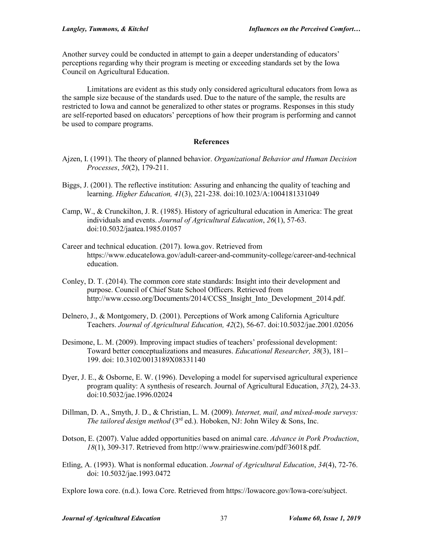Another survey could be conducted in attempt to gain a deeper understanding of educators' perceptions regarding why their program is meeting or exceeding standards set by the Iowa Council on Agricultural Education.

Limitations are evident as this study only considered agricultural educators from Iowa as the sample size because of the standards used. Due to the nature of the sample, the results are restricted to Iowa and cannot be generalized to other states or programs. Responses in this study are self-reported based on educators' perceptions of how their program is performing and cannot be used to compare programs.

#### **References**

- Ajzen, I. (1991). The theory of planned behavior. *Organizational Behavior and Human Decision Processes*, *50*(2), 179-211.
- Biggs, J. (2001). The reflective institution: Assuring and enhancing the quality of teaching and learning. *Higher Education, 41*(3), 221-238. doi:10.1023/A:1004181331049
- Camp, W., & Crunckilton, J. R. (1985). History of agricultural education in America: The great individuals and events. *Journal of Agricultural Education*, *26*(1), 57-63. doi:10.5032/jaatea.1985.01057
- Career and technical education. (2017). Iowa.gov. Retrieved from https://www.educateIowa.gov/adult-career-and-community-college/career-and-technical education.
- Conley, D. T. (2014). The common core state standards: Insight into their development and purpose. Council of Chief State School Officers. Retrieved from http://www.ccsso.org/Documents/2014/CCSS Insight Into Development 2014.pdf.
- Delnero, J., & Montgomery, D. (2001). Perceptions of Work among California Agriculture Teachers. *Journal of Agricultural Education, 42*(2), 56-67. doi:10.5032/jae.2001.02056
- Desimone, L. M. (2009). Improving impact studies of teachers' professional development: Toward better conceptualizations and measures. *Educational Researcher, 38*(3), 181– 199. doi: 10.3102/0013189X08331140
- Dyer, J. E., & Osborne, E. W. (1996). Developing a model for supervised agricultural experience program quality: A synthesis of research. Journal of Agricultural Education, *37*(2), 24-33. doi:10.5032/jae.1996.02024
- Dillman, D. A., Smyth, J. D., & Christian, L. M. (2009). *Internet, mail, and mixed-mode surveys: The tailored design method* (3<sup>rd</sup> ed.). Hoboken, NJ: John Wiley & Sons, Inc.
- Dotson, E. (2007). Value added opportunities based on animal care. *Advance in Pork Production*, *18*(1), 309-317. Retrieved from http://www.prairieswine.com/pdf/36018.pdf.
- Etling, A. (1993). What is nonformal education. *Journal of Agricultural Education*, *34*(4), 72-76. doi: 10.5032/jae.1993.0472

Explore Iowa core. (n.d.). Iowa Core. Retrieved from https://Iowacore.gov/Iowa-core/subject.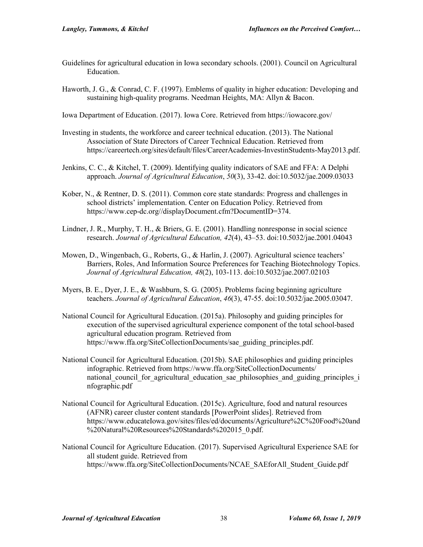- Guidelines for agricultural education in Iowa secondary schools. (2001). Council on Agricultural Education.
- Haworth, J. G., & Conrad, C. F. (1997). Emblems of quality in higher education: Developing and sustaining high-quality programs. Needman Heights, MA: Allyn & Bacon.

Iowa Department of Education. (2017). Iowa Core. Retrieved from https://iowacore.gov/

- Investing in students, the workforce and career technical education. (2013). The National Association of State Directors of Career Technical Education. Retrieved from https://careertech.org/sites/default/files/CareerAcademies-InvestinStudents-May2013.pdf.
- Jenkins, C. C., & Kitchel, T. (2009). Identifying quality indicators of SAE and FFA: A Delphi approach. *Journal of Agricultural Education*, *50*(3), 33-42. doi:10.5032/jae.2009.03033
- Kober, N., & Rentner, D. S. (2011). Common core state standards: Progress and challenges in school districts' implementation. Center on Education Policy. Retrieved from https://www.cep-dc.org//displayDocument.cfm?DocumentID=374.
- Lindner, J. R., Murphy, T. H., & Briers, G. E. (2001). Handling nonresponse in social science research. *Journal of Agricultural Education, 42*(4), 43–53. doi:10.5032/jae.2001.04043
- Mowen, D., Wingenbach, G., Roberts, G., & Harlin, J. (2007). Agricultural science teachers' Barriers, Roles, And Information Source Preferences for Teaching Biotechnology Topics. *Journal of Agricultural Education, 48*(2), 103-113. doi:10.5032/jae.2007.02103
- Myers, B. E., Dyer, J. E., & Washburn, S. G. (2005). Problems facing beginning agriculture teachers. *Journal of Agricultural Education*, *46*(3), 47-55. doi:10.5032/jae.2005.03047.
- National Council for Agricultural Education. (2015a). Philosophy and guiding principles for execution of the supervised agricultural experience component of the total school-based agricultural education program. Retrieved from https://www.ffa.org/SiteCollectionDocuments/sae\_guiding\_principles.pdf.
- National Council for Agricultural Education. (2015b). SAE philosophies and guiding principles infographic. Retrieved from https://www.ffa.org/SiteCollectionDocuments/ national council for agricultural education sae philosophies and guiding principles i nfographic.pdf
- National Council for Agricultural Education. (2015c). Agriculture, food and natural resources (AFNR) career cluster content standards [PowerPoint slides]. Retrieved from https://www.educateIowa.gov/sites/files/ed/documents/Agriculture%2C%20Food%20and %20Natural%20Resources%20Standards%202015\_0.pdf.
- National Council for Agriculture Education. (2017). Supervised Agricultural Experience SAE for all student guide. Retrieved from https://www.ffa.org/SiteCollectionDocuments/NCAE\_SAEforAll\_Student\_Guide.pdf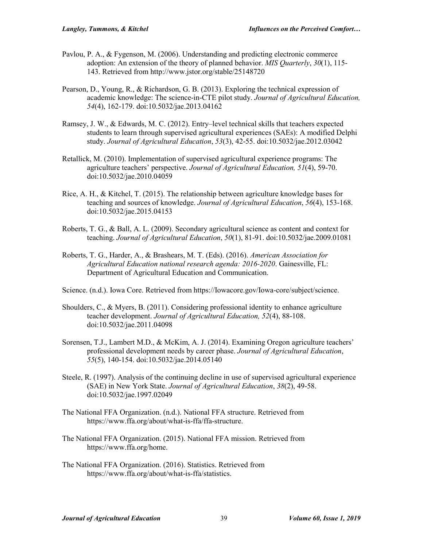- Pavlou, P. A., & Fygenson, M. (2006). Understanding and predicting electronic commerce adoption: An extension of the theory of planned behavior. *MIS Quarterly*, *30*(1), 115- 143. Retrieved from http://www.jstor.org/stable/25148720
- Pearson, D., Young, R., & Richardson, G. B. (2013). Exploring the technical expression of academic knowledge: The science-in-CTE pilot study. *Journal of Agricultural Education, 54*(4), 162-179. doi:10.5032/jae.2013.04162
- Ramsey, J. W., & Edwards, M. C. (2012). Entry–level technical skills that teachers expected students to learn through supervised agricultural experiences (SAEs): A modified Delphi study. *Journal of Agricultural Education*, *53*(3), 42-55. doi:10.5032/jae.2012.03042
- Retallick, M. (2010). Implementation of supervised agricultural experience programs: The agriculture teachers' perspective. *Journal of Agricultural Education, 51*(4), 59-70. doi:10.5032/jae.2010.04059
- Rice, A. H., & Kitchel, T. (2015). The relationship between agriculture knowledge bases for teaching and sources of knowledge. *Journal of Agricultural Education*, *56*(4), 153-168. doi:10.5032/jae.2015.04153
- Roberts, T. G., & Ball, A. L. (2009). Secondary agricultural science as content and context for teaching. *Journal of Agricultural Education*, *50*(1), 81-91. doi:10.5032/jae.2009.01081
- Roberts, T. G., Harder, A., & Brashears, M. T. (Eds). (2016). *American Association for Agricultural Education national research agenda: 2016-2020*. Gainesville, FL: Department of Agricultural Education and Communication.

Science. (n.d.). Iowa Core. Retrieved from https://Iowacore.gov/Iowa-core/subject/science.

- Shoulders, C., & Myers, B. (2011). Considering professional identity to enhance agriculture teacher development. *Journal of Agricultural Education, 52*(4), 88-108. doi:10.5032/jae.2011.04098
- Sorensen, T.J., Lambert M.D., & McKim, A. J. (2014). Examining Oregon agriculture teachers' professional development needs by career phase. *Journal of Agricultural Education*, *55*(5), 140-154. doi:10.5032/jae.2014.05140
- Steele, R. (1997). Analysis of the continuing decline in use of supervised agricultural experience (SAE) in New York State. *Journal of Agricultural Education*, *38*(2), 49-58. doi:10.5032/jae.1997.02049
- The National FFA Organization. (n.d.). National FFA structure. Retrieved from https://www.ffa.org/about/what-is-ffa/ffa-structure.
- The National FFA Organization. (2015). National FFA mission. Retrieved from https://www.ffa.org/home.
- The National FFA Organization. (2016). Statistics. Retrieved from https://www.ffa.org/about/what-is-ffa/statistics.